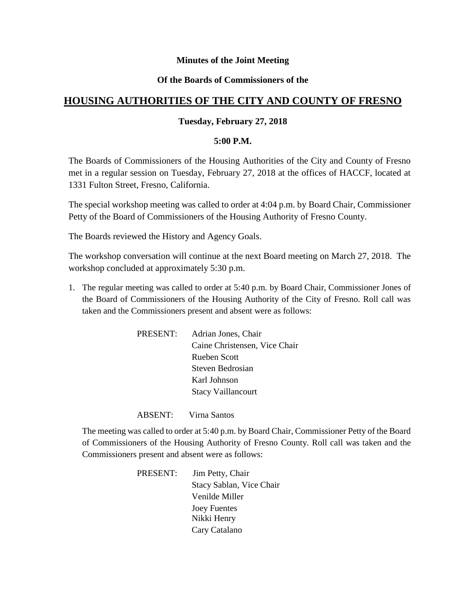# **Minutes of the Joint Meeting**

# **Of the Boards of Commissioners of the**

# **HOUSING AUTHORITIES OF THE CITY AND COUNTY OF FRESNO**

# **Tuesday, February 27, 2018**

### **5:00 P.M.**

The Boards of Commissioners of the Housing Authorities of the City and County of Fresno met in a regular session on Tuesday, February 27, 2018 at the offices of HACCF, located at 1331 Fulton Street, Fresno, California.

The special workshop meeting was called to order at 4:04 p.m. by Board Chair, Commissioner Petty of the Board of Commissioners of the Housing Authority of Fresno County.

The Boards reviewed the History and Agency Goals.

The workshop conversation will continue at the next Board meeting on March 27, 2018. The workshop concluded at approximately 5:30 p.m.

1. The regular meeting was called to order at 5:40 p.m. by Board Chair, Commissioner Jones of the Board of Commissioners of the Housing Authority of the City of Fresno. Roll call was taken and the Commissioners present and absent were as follows:

| PRESENT:<br>Adrian Jones, Chair |
|---------------------------------|
| Caine Christensen, Vice Chair   |
| Rueben Scott                    |
| Steven Bedrosian                |
| Karl Johnson                    |
| <b>Stacy Vaillancourt</b>       |
|                                 |

ABSENT: Virna Santos

The meeting was called to order at 5:40 p.m. by Board Chair, Commissioner Petty of the Board of Commissioners of the Housing Authority of Fresno County. Roll call was taken and the Commissioners present and absent were as follows:

> PRESENT: Jim Petty, Chair Stacy Sablan, Vice Chair Venilde Miller Joey Fuentes Nikki Henry Cary Catalano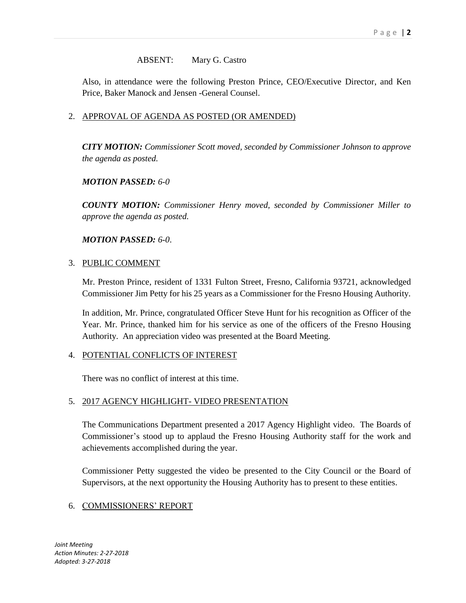# ABSENT: Mary G. Castro

Also, in attendance were the following Preston Prince, CEO/Executive Director, and Ken Price, Baker Manock and Jensen -General Counsel.

# 2. APPROVAL OF AGENDA AS POSTED (OR AMENDED)

*CITY MOTION: Commissioner Scott moved, seconded by Commissioner Johnson to approve the agenda as posted.*

### *MOTION PASSED: 6-0*

*COUNTY MOTION: Commissioner Henry moved, seconded by Commissioner Miller to approve the agenda as posted.*

### *MOTION PASSED: 6-0*.

### 3. PUBLIC COMMENT

Mr. Preston Prince, resident of 1331 Fulton Street, Fresno, California 93721, acknowledged Commissioner Jim Petty for his 25 years as a Commissioner for the Fresno Housing Authority.

In addition, Mr. Prince, congratulated Officer Steve Hunt for his recognition as Officer of the Year. Mr. Prince, thanked him for his service as one of the officers of the Fresno Housing Authority. An appreciation video was presented at the Board Meeting.

# 4. POTENTIAL CONFLICTS OF INTEREST

There was no conflict of interest at this time.

# 5. 2017 AGENCY HIGHLIGHT- VIDEO PRESENTATION

The Communications Department presented a 2017 Agency Highlight video. The Boards of Commissioner's stood up to applaud the Fresno Housing Authority staff for the work and achievements accomplished during the year.

Commissioner Petty suggested the video be presented to the City Council or the Board of Supervisors, at the next opportunity the Housing Authority has to present to these entities.

# 6. COMMISSIONERS' REPORT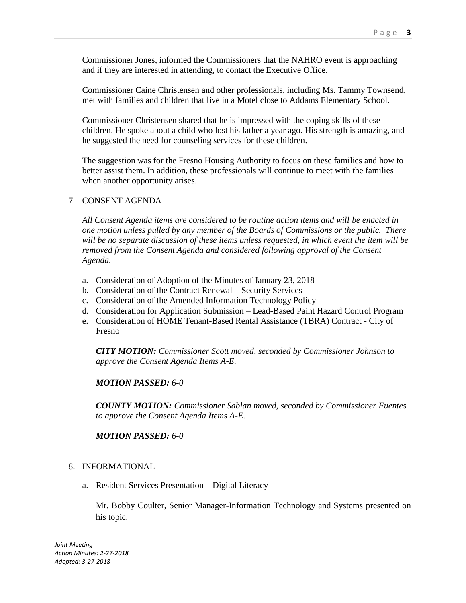Commissioner Jones, informed the Commissioners that the NAHRO event is approaching and if they are interested in attending, to contact the Executive Office.

Commissioner Caine Christensen and other professionals, including Ms. Tammy Townsend, met with families and children that live in a Motel close to Addams Elementary School.

Commissioner Christensen shared that he is impressed with the coping skills of these children. He spoke about a child who lost his father a year ago. His strength is amazing, and he suggested the need for counseling services for these children.

The suggestion was for the Fresno Housing Authority to focus on these families and how to better assist them. In addition, these professionals will continue to meet with the families when another opportunity arises.

### 7. CONSENT AGENDA

*All Consent Agenda items are considered to be routine action items and will be enacted in one motion unless pulled by any member of the Boards of Commissions or the public. There will be no separate discussion of these items unless requested, in which event the item will be removed from the Consent Agenda and considered following approval of the Consent Agenda.*

- a. Consideration of Adoption of the Minutes of January 23, 2018
- b. Consideration of the Contract Renewal Security Services
- c. Consideration of the Amended Information Technology Policy
- d. Consideration for Application Submission Lead-Based Paint Hazard Control Program
- e. Consideration of HOME Tenant-Based Rental Assistance (TBRA) Contract City of Fresno

*CITY MOTION: Commissioner Scott moved, seconded by Commissioner Johnson to approve the Consent Agenda Items A-E.*

### *MOTION PASSED: 6-0*

*COUNTY MOTION: Commissioner Sablan moved, seconded by Commissioner Fuentes to approve the Consent Agenda Items A-E.*

#### *MOTION PASSED: 6-0*

#### 8. INFORMATIONAL

a. Resident Services Presentation – Digital Literacy

Mr. Bobby Coulter, Senior Manager-Information Technology and Systems presented on his topic.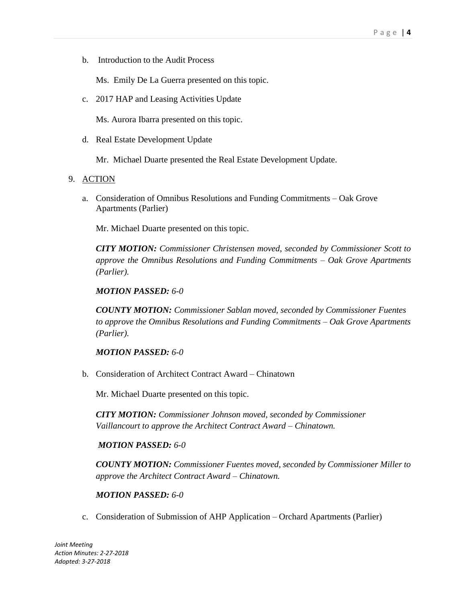b. Introduction to the Audit Process

Ms. Emily De La Guerra presented on this topic.

c. 2017 HAP and Leasing Activities Update

Ms. Aurora Ibarra presented on this topic.

d. Real Estate Development Update

Mr. Michael Duarte presented the Real Estate Development Update.

### 9. ACTION

a. Consideration of Omnibus Resolutions and Funding Commitments – Oak Grove Apartments (Parlier)

Mr. Michael Duarte presented on this topic.

*CITY MOTION: Commissioner Christensen moved, seconded by Commissioner Scott to approve the Omnibus Resolutions and Funding Commitments – Oak Grove Apartments (Parlier).*

### *MOTION PASSED: 6-0*

*COUNTY MOTION: Commissioner Sablan moved, seconded by Commissioner Fuentes to approve the Omnibus Resolutions and Funding Commitments – Oak Grove Apartments (Parlier).*

# *MOTION PASSED: 6-0*

b. Consideration of Architect Contract Award – Chinatown

Mr. Michael Duarte presented on this topic.

*CITY MOTION: Commissioner Johnson moved, seconded by Commissioner Vaillancourt to approve the Architect Contract Award – Chinatown.*

### *MOTION PASSED: 6-0*

*COUNTY MOTION: Commissioner Fuentes moved, seconded by Commissioner Miller to approve the Architect Contract Award – Chinatown.*

### *MOTION PASSED: 6-0*

c. Consideration of Submission of AHP Application – Orchard Apartments (Parlier)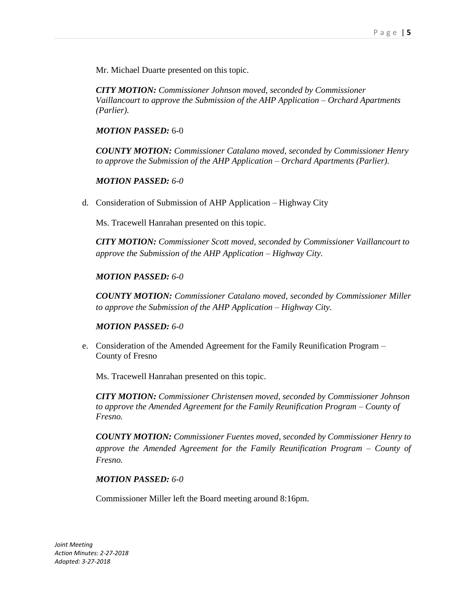Mr. Michael Duarte presented on this topic.

*CITY MOTION: Commissioner Johnson moved, seconded by Commissioner Vaillancourt to approve the Submission of the AHP Application – Orchard Apartments (Parlier).*

### *MOTION PASSED:* 6-0

*COUNTY MOTION: Commissioner Catalano moved, seconded by Commissioner Henry to approve the Submission of the AHP Application – Orchard Apartments (Parlier).*

### *MOTION PASSED: 6-0*

d. Consideration of Submission of AHP Application – Highway City

Ms. Tracewell Hanrahan presented on this topic.

*CITY MOTION: Commissioner Scott moved, seconded by Commissioner Vaillancourt to approve the Submission of the AHP Application – Highway City.* 

### *MOTION PASSED: 6-0*

*COUNTY MOTION: Commissioner Catalano moved, seconded by Commissioner Miller to approve the Submission of the AHP Application – Highway City.*

### *MOTION PASSED: 6-0*

e. Consideration of the Amended Agreement for the Family Reunification Program – County of Fresno

Ms. Tracewell Hanrahan presented on this topic.

*CITY MOTION: Commissioner Christensen moved, seconded by Commissioner Johnson to approve the Amended Agreement for the Family Reunification Program – County of Fresno.*

*COUNTY MOTION: Commissioner Fuentes moved, seconded by Commissioner Henry to approve the Amended Agreement for the Family Reunification Program – County of Fresno.*

### *MOTION PASSED: 6-0*

Commissioner Miller left the Board meeting around 8:16pm.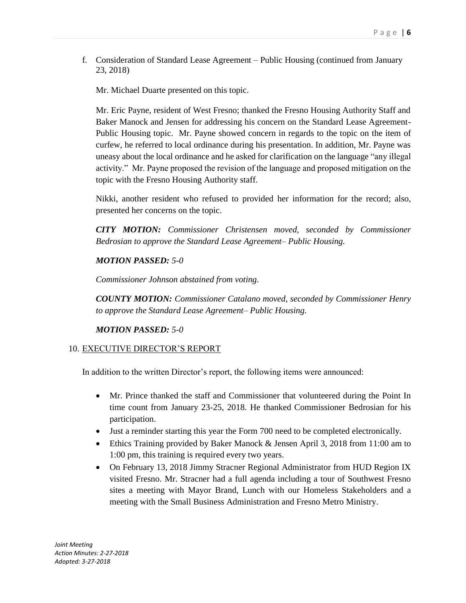f. Consideration of Standard Lease Agreement – Public Housing (continued from January 23, 2018)

Mr. Michael Duarte presented on this topic.

Mr. Eric Payne, resident of West Fresno; thanked the Fresno Housing Authority Staff and Baker Manock and Jensen for addressing his concern on the Standard Lease Agreement-Public Housing topic. Mr. Payne showed concern in regards to the topic on the item of curfew, he referred to local ordinance during his presentation. In addition, Mr. Payne was uneasy about the local ordinance and he asked for clarification on the language "any illegal activity." Mr. Payne proposed the revision of the language and proposed mitigation on the topic with the Fresno Housing Authority staff.

Nikki, another resident who refused to provided her information for the record; also, presented her concerns on the topic.

*CITY MOTION: Commissioner Christensen moved, seconded by Commissioner Bedrosian to approve the Standard Lease Agreement– Public Housing.*

### *MOTION PASSED: 5-0*

*Commissioner Johnson abstained from voting.*

*COUNTY MOTION: Commissioner Catalano moved, seconded by Commissioner Henry to approve the Standard Lease Agreement– Public Housing.*

*MOTION PASSED: 5-0*

### 10. EXECUTIVE DIRECTOR'S REPORT

In addition to the written Director's report, the following items were announced:

- Mr. Prince thanked the staff and Commissioner that volunteered during the Point In time count from January 23-25, 2018. He thanked Commissioner Bedrosian for his participation.
- Just a reminder starting this year the Form 700 need to be completed electronically.
- Ethics Training provided by Baker Manock & Jensen April 3, 2018 from 11:00 am to 1:00 pm, this training is required every two years.
- On February 13, 2018 Jimmy Stracner Regional Administrator from HUD Region IX visited Fresno. Mr. Stracner had a full agenda including a tour of Southwest Fresno sites a meeting with Mayor Brand, Lunch with our Homeless Stakeholders and a meeting with the Small Business Administration and Fresno Metro Ministry.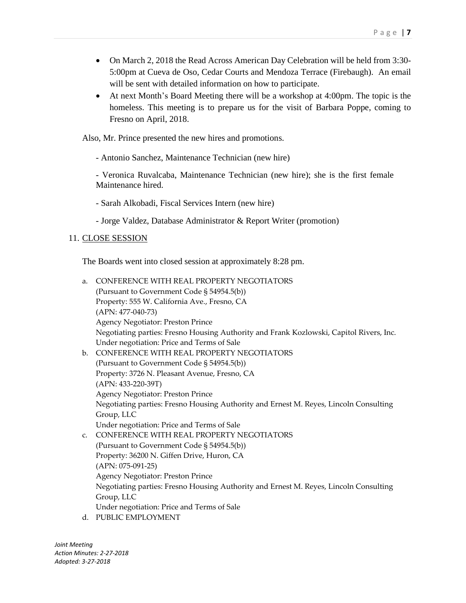- On March 2, 2018 the Read Across American Day Celebration will be held from 3:30- 5:00pm at Cueva de Oso, Cedar Courts and Mendoza Terrace (Firebaugh). An email will be sent with detailed information on how to participate.
- At next Month's Board Meeting there will be a workshop at 4:00pm. The topic is the homeless. This meeting is to prepare us for the visit of Barbara Poppe, coming to Fresno on April, 2018.

Also, Mr. Prince presented the new hires and promotions.

- Antonio Sanchez, Maintenance Technician (new hire)

- Veronica Ruvalcaba, Maintenance Technician (new hire); she is the first female Maintenance hired.

- Sarah Alkobadi, Fiscal Services Intern (new hire)
- Jorge Valdez, Database Administrator & Report Writer (promotion)

### 11. CLOSE SESSION

The Boards went into closed session at approximately 8:28 pm.

a. CONFERENCE WITH REAL PROPERTY NEGOTIATORS (Pursuant to Government Code § 54954.5(b)) Property: 555 W. California Ave., Fresno, CA (APN: 477-040-73) Agency Negotiator: Preston Prince Negotiating parties: Fresno Housing Authority and Frank Kozlowski, Capitol Rivers, Inc. Under negotiation: Price and Terms of Sale b. CONFERENCE WITH REAL PROPERTY NEGOTIATORS (Pursuant to Government Code § 54954.5(b)) Property: 3726 N. Pleasant Avenue, Fresno, CA (APN: 433-220-39T) Agency Negotiator: Preston Prince Negotiating parties: Fresno Housing Authority and Ernest M. Reyes, Lincoln Consulting Group, LLC

Under negotiation: Price and Terms of Sale

- c. CONFERENCE WITH REAL PROPERTY NEGOTIATORS (Pursuant to Government Code § 54954.5(b)) Property: 36200 N. Giffen Drive, Huron, CA (APN: 075-091-25) Agency Negotiator: Preston Prince Negotiating parties: Fresno Housing Authority and Ernest M. Reyes, Lincoln Consulting Group, LLC Under negotiation: Price and Terms of Sale
- d. PUBLIC EMPLOYMENT